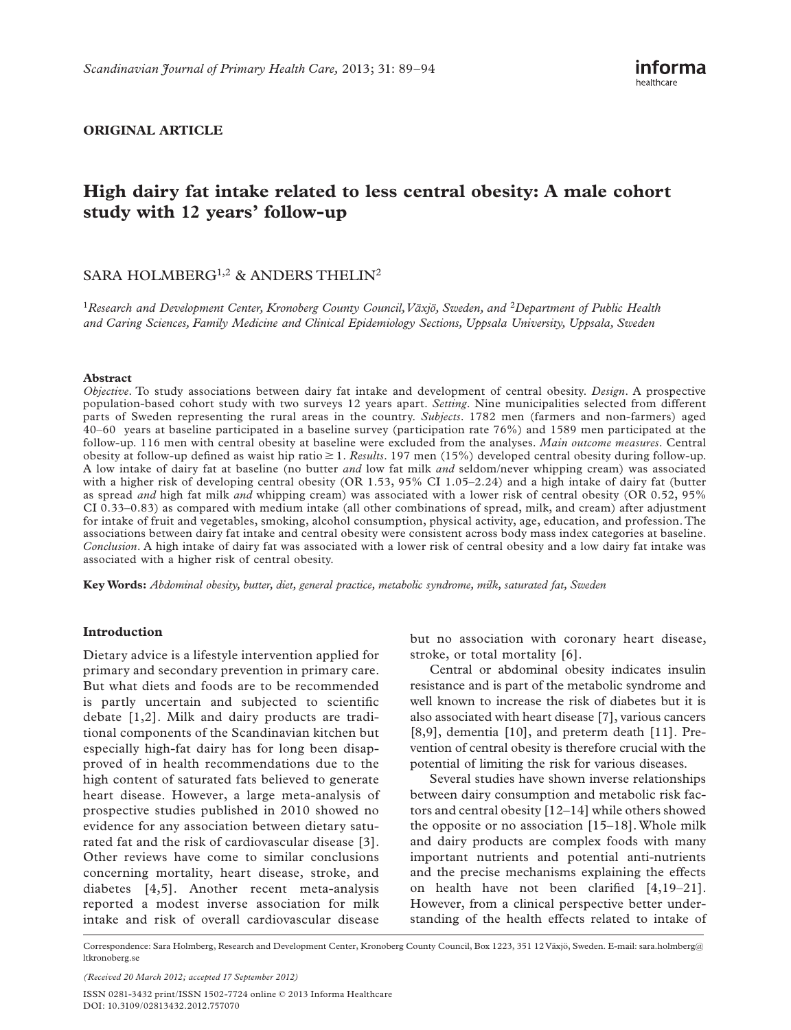### **ORIGINAL ARTICLE**

# **High dairy fat intake related to less central obesity: A male cohort**  study with 12 years' follow-up

## SARA HOLMBERG<sup>1,2</sup> & ANDERS THELIN<sup>2</sup>

<sup>1</sup> Research and Development Center, Kronoberg County Council, Växjö, Sweden, and <sup>2</sup> Department of Public Health *and Caring Sciences, Family Medicine and Clinical Epidemiology Sections, Uppsala University, Uppsala, Sweden* 

#### **Abstract**

*Objective*. To study associations between dairy fat intake and development of central obesity. *Design*. A prospective population-based cohort study with two surveys 12 years apart. *Setting*. Nine municipalities selected from different parts of Sweden representing the rural areas in the country. *Subjects*. 1782 men (farmers and non-farmers) aged 40 – 60 years at baseline participated in a baseline survey (participation rate 76%) and 1589 men participated at the follow-up. 116 men with central obesity at baseline were excluded from the analyses. *Main outcome measures*. Central obesity at follow-up defined as waist hip ratio  $\geq 1$ . *Results*. 197 men (15%) developed central obesity during follow-up. A low intake of dairy fat at baseline (no butter *and* low fat milk *and* seldom/never whipping cream) was associated with a higher risk of developing central obesity (OR 1.53, 95% CI 1.05-2.24) and a high intake of dairy fat (butter as spread *and* high fat milk *and* whipping cream) was associated with a lower risk of central obesity (OR 0.52, 95% CI 0.33 – 0.83) as compared with medium intake (all other combinations of spread, milk, and cream) after adjustment for intake of fruit and vegetables, smoking, alcohol consumption, physical activity, age, education, and profession. The associations between dairy fat intake and central obesity were consistent across body mass index categories at baseline. *Conclusion*. A high intake of dairy fat was associated with a lower risk of central obesity and a low dairy fat intake was associated with a higher risk of central obesity.

**Key Words:** *Abdominal obesity , butter , diet , general practice , metabolic syndrome , milk , saturated fat , Sweden* 

#### **Introduction**

Dietary advice is a lifestyle intervention applied for primary and secondary prevention in primary care. But what diets and foods are to be recommended is partly uncertain and subjected to scientific debate [1,2]. Milk and dairy products are traditional components of the Scandinavian kitchen but especially high-fat dairy has for long been disapproved of in health recommendations due to the high content of saturated fats believed to generate heart disease. However, a large meta-analysis of prospective studies published in 2010 showed no evidence for any association between dietary saturated fat and the risk of cardiovascular disease [3]. Other reviews have come to similar conclusions concerning mortality, heart disease, stroke, and diabetes [4,5]. Another recent meta-analysis reported a modest inverse association for milk intake and risk of overall cardiovascular disease

but no association with coronary heart disease, stroke, or total mortality [6].

Central or abdominal obesity indicates insulin resistance and is part of the metabolic syndrome and well known to increase the risk of diabetes but it is also associated with heart disease [7], various cancers [8,9], dementia [10], and preterm death [11]. Prevention of central obesity is therefore crucial with the potential of limiting the risk for various diseases.

Several studies have shown inverse relationships between dairy consumption and metabolic risk factors and central obesity  $[12-14]$  while others showed the opposite or no association  $[15-18]$ . Whole milk and dairy products are complex foods with many important nutrients and potential anti-nutrients and the precise mechanisms explaining the effects on health have not been clarified  $[4,19-21]$ . However, from a clinical perspective better understanding of the health effects related to intake of

ISSN 0281-3432 print/ISSN 1502-7724 online © 2013 Informa Healthcare DOI: 10.3109/02813432.2012.757070

Correspondence: Sara Holmberg, Research and Development Center, Kronoberg County Council, Box 1223, 351 12 Växjö, Sweden. E-mail: sara.holmberg@ ltkronoberg.se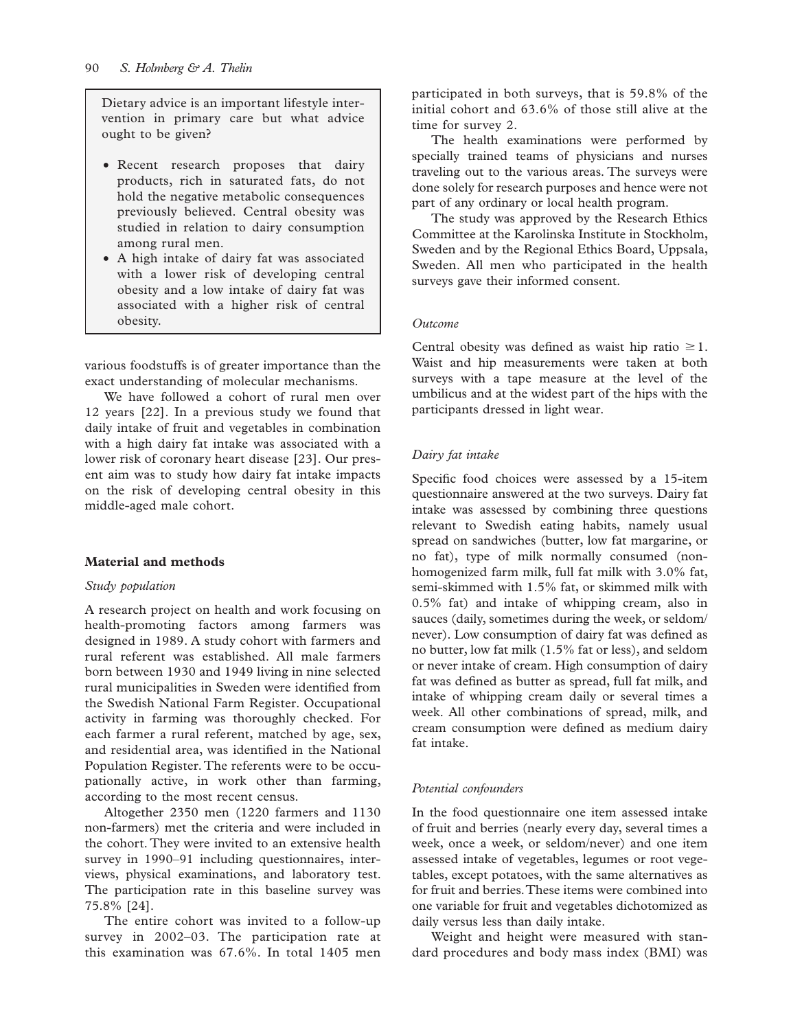Dietary advice is an important lifestyle intervention in primary care but what advice ought to be given?

- Recent research proposes that dairy products, rich in saturated fats, do not hold the negative metabolic consequences previously believed. Central obesity was studied in relation to dairy consumption among rural men.
- A high intake of dairy fat was associated with a lower risk of developing central obesity and a low intake of dairy fat was associated with a higher risk of central obesity.

various foodstuffs is of greater importance than the exact understanding of molecular mechanisms.

We have followed a cohort of rural men over 12 years [22]. In a previous study we found that daily intake of fruit and vegetables in combination with a high dairy fat intake was associated with a lower risk of coronary heart disease [23]. Our present aim was to study how dairy fat intake impacts on the risk of developing central obesity in this middle-aged male cohort.

#### **Material and methods**

#### *Study population*

A research project on health and work focusing on health-promoting factors among farmers was designed in 1989. A study cohort with farmers and rural referent was established. All male farmers born between 1930 and 1949 living in nine selected rural municipalities in Sweden were identified from the Swedish National Farm Register. Occupational activity in farming was thoroughly checked. For each farmer a rural referent, matched by age, sex, and residential area, was identified in the National Population Register. The referents were to be occupationally active, in work other than farming, according to the most recent census.

Altogether 2350 men (1220 farmers and 1130 non-farmers) met the criteria and were included in the cohort. They were invited to an extensive health survey in 1990–91 including questionnaires, interviews, physical examinations, and laboratory test. The participation rate in this baseline survey was 75.8% [24].

The entire cohort was invited to a follow-up survey in  $2002-03$ . The participation rate at this examination was 67.6%. In total 1405 men

participated in both surveys, that is 59.8% of the initial cohort and 63.6% of those still alive at the time for survey 2.

The health examinations were performed by specially trained teams of physicians and nurses traveling out to the various areas. The surveys were done solely for research purposes and hence were not part of any ordinary or local health program.

The study was approved by the Research Ethics Committee at the Karolinska Institute in Stockholm, Sweden and by the Regional Ethics Board, Uppsala, Sweden. All men who participated in the health surveys gave their informed consent.

#### *Outcome*

Central obesity was defined as waist hip ratio  $\geq 1$ . Waist and hip measurements were taken at both surveys with a tape measure at the level of the umbilicus and at the widest part of the hips with the participants dressed in light wear.

#### *Dairy fat intake*

Specific food choices were assessed by a 15-item questionnaire answered at the two surveys. Dairy fat intake was assessed by combining three questions relevant to Swedish eating habits, namely usual spread on sandwiches (butter, low fat margarine, or no fat), type of milk normally consumed (nonhomogenized farm milk, full fat milk with 3.0% fat, semi-skimmed with 1.5% fat, or skimmed milk with 0.5% fat) and intake of whipping cream, also in sauces (daily, sometimes during the week, or seldom/ never). Low consumption of dairy fat was defined as no butter, low fat milk (1.5% fat or less), and seldom or never intake of cream. High consumption of dairy fat was defined as butter as spread, full fat milk, and intake of whipping cream daily or several times a week. All other combinations of spread, milk, and cream consumption were defined as medium dairy fat intake.

#### *Potential confounders*

In the food questionnaire one item assessed intake of fruit and berries (nearly every day, several times a week, once a week, or seldom/never) and one item assessed intake of vegetables, legumes or root vegetables, except potatoes, with the same alternatives as for fruit and berries. These items were combined into one variable for fruit and vegetables dichotomized as daily versus less than daily intake.

Weight and height were measured with standard procedures and body mass index (BMI) was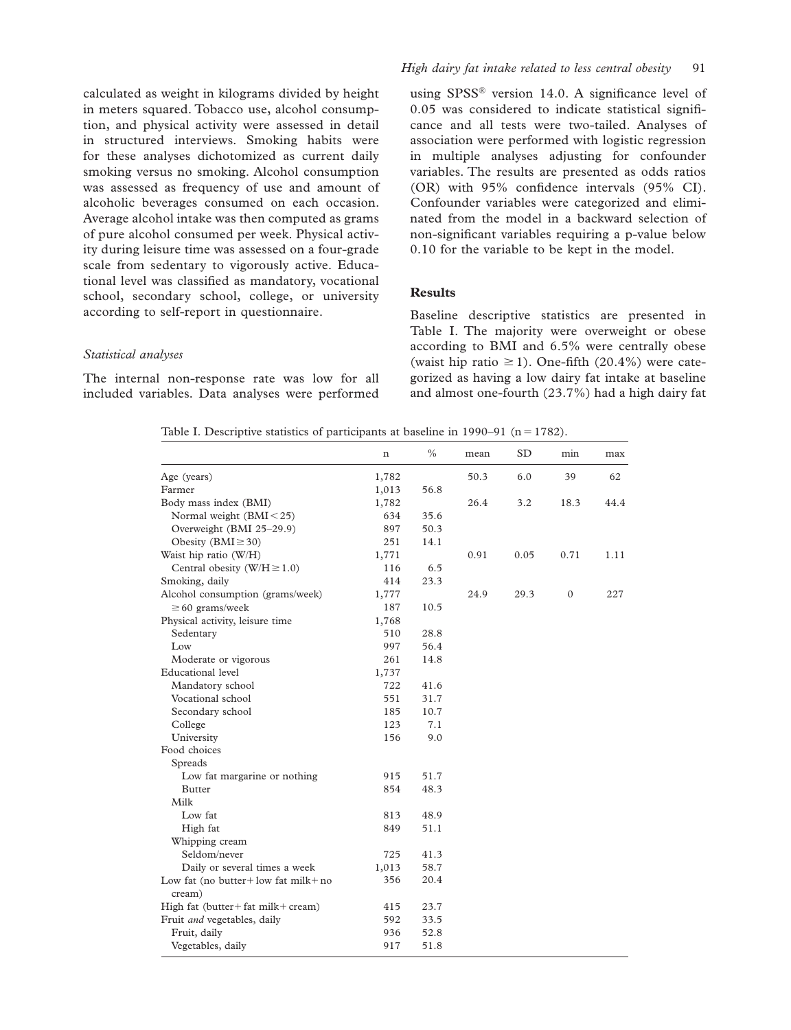calculated as weight in kilograms divided by height in meters squared. Tobacco use, alcohol consumption, and physical activity were assessed in detail in structured interviews. Smoking habits were for these analyses dichotomized as current daily smoking versus no smoking. Alcohol consumption was assessed as frequency of use and amount of alcoholic beverages consumed on each occasion. Average alcohol intake was then computed as grams of pure alcohol consumed per week. Physical activity during leisure time was assessed on a four-grade scale from sedentary to vigorously active. Educational level was classified as mandatory, vocational school, secondary school, college, or university according to self-report in questionnaire.

#### *High dairy fat intake related to less central obesity* 91

using  $SPSS^®$  version 14.0. A significance level of 0.05 was considered to indicate statistical significance and all tests were two-tailed. Analyses of association were performed with logistic regression in multiple analyses adjusting for confounder variables. The results are presented as odds ratios (OR) with  $95\%$  confidence intervals ( $95\%$  CI). Confounder variables were categorized and eliminated from the model in a backward selection of non-significant variables requiring a p-value below 0.10 for the variable to be kept in the model.

## **Results**

#### *Statistical analyses*

The internal non-response rate was low for all included variables. Data analyses were performed

Baseline descriptive statistics are presented in Table I. The majority were overweight or obese according to BMI and 6.5% were centrally obese (waist hip ratio  $\geq$  1). One-fifth (20.4%) were categorized as having a low dairy fat intake at baseline and almost one-fourth (23.7%) had a high dairy fat

| Table I. Descriptive statistics of participants at baseline in 1990–91 ( $n = 1782$ ). |  |  |  |  |
|----------------------------------------------------------------------------------------|--|--|--|--|
|----------------------------------------------------------------------------------------|--|--|--|--|

|                                                  | n     | $\frac{0}{0}$ | mean | <b>SD</b> | min          | max  |
|--------------------------------------------------|-------|---------------|------|-----------|--------------|------|
| Age (years)                                      | 1,782 |               | 50.3 | 6.0       | 39           | 62   |
| Farmer                                           | 1,013 | 56.8          |      |           |              |      |
| Body mass index (BMI)                            | 1,782 |               | 26.4 | 3.2       | 18.3         | 44.4 |
| Normal weight $(BMI < 25)$                       | 634   | 35.6          |      |           |              |      |
| Overweight (BMI 25-29.9)                         | 897   | 50.3          |      |           |              |      |
| Obesity (BMI $\geq$ 30)                          | 251   | 14.1          |      |           |              |      |
| Waist hip ratio (W/H)                            | 1,771 |               | 0.91 | 0.05      | 0.71         | 1.11 |
| Central obesity (W/H $\geq$ 1.0)                 | 116   | 6.5           |      |           |              |      |
| Smoking, daily                                   | 414   | 23.3          |      |           |              |      |
| Alcohol consumption (grams/week)                 | 1,777 |               | 24.9 | 29.3      | $\mathbf{0}$ | 227  |
| $\geq$ 60 grams/week                             | 187   | 10.5          |      |           |              |      |
| Physical activity, leisure time                  | 1,768 |               |      |           |              |      |
| Sedentary                                        | 510   | 28.8          |      |           |              |      |
| Low                                              | 997   | 56.4          |      |           |              |      |
| Moderate or vigorous                             | 261   | 14.8          |      |           |              |      |
| Educational level                                | 1,737 |               |      |           |              |      |
| Mandatory school                                 | 722   | 41.6          |      |           |              |      |
| Vocational school                                | 551   | 31.7          |      |           |              |      |
| Secondary school                                 | 185   | 10.7          |      |           |              |      |
| College                                          | 123   | 7.1           |      |           |              |      |
| University                                       | 156   | 9.0           |      |           |              |      |
| Food choices                                     |       |               |      |           |              |      |
| Spreads                                          |       |               |      |           |              |      |
| Low fat margarine or nothing                     | 915   | 51.7          |      |           |              |      |
| <b>Butter</b>                                    | 854   | 48.3          |      |           |              |      |
| Milk                                             |       |               |      |           |              |      |
| Low fat                                          | 813   | 48.9          |      |           |              |      |
| High fat                                         | 849   | 51.1          |      |           |              |      |
| Whipping cream                                   |       |               |      |           |              |      |
| Seldom/never                                     | 725   | 41.3          |      |           |              |      |
| Daily or several times a week                    | 1,013 | 58.7          |      |           |              |      |
| Low fat (no butter + low fat milk + no<br>cream) | 356   | 20.4          |      |           |              |      |
| High fat (butter + fat milk + cream)             | 415   | 23.7          |      |           |              |      |
| Fruit and vegetables, daily                      | 592   | 33.5          |      |           |              |      |
| Fruit, daily                                     | 936   | 52.8          |      |           |              |      |
| Vegetables, daily                                | 917   | 51.8          |      |           |              |      |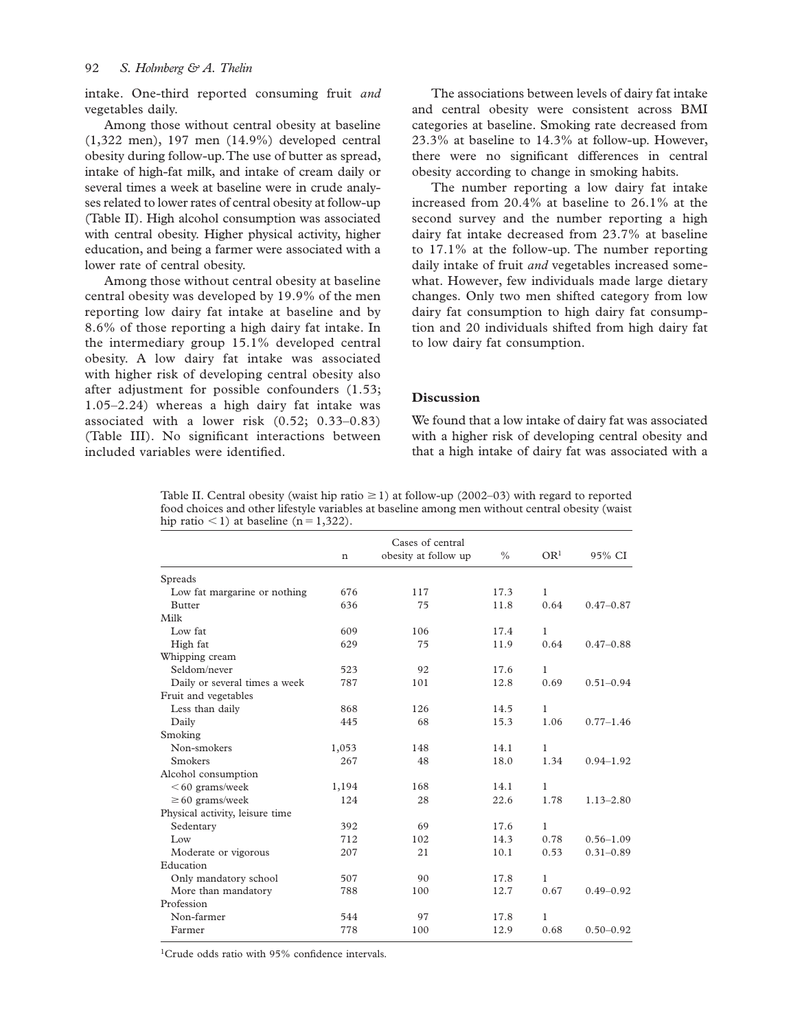intake. One-third reported consuming fruit *and* vegetables daily.

Among those without central obesity at baseline (1,322 men), 197 men (14.9%) developed central obesity during follow-up. The use of butter as spread, intake of high-fat milk, and intake of cream daily or several times a week at baseline were in crude analyses related to lower rates of central obesity at follow-up (Table II). High alcohol consumption was associated with central obesity. Higher physical activity, higher education, and being a farmer were associated with a lower rate of central obesity.

Among those without central obesity at baseline central obesity was developed by 19.9% of the men reporting low dairy fat intake at baseline and by 8.6% of those reporting a high dairy fat intake. In the intermediary group 15.1% developed central obesity. A low dairy fat intake was associated with higher risk of developing central obesity also after adjustment for possible confounders (1.53;  $1.05 - 2.24$ ) whereas a high dairy fat intake was associated with a lower risk  $(0.52; 0.33 - 0.83)$ (Table III). No significant interactions between included variables were identified.

The associations between levels of dairy fat intake and central obesity were consistent across BMI categories at baseline. Smoking rate decreased from 23.3% at baseline to 14.3% at follow-up. However, there were no significant differences in central obesity according to change in smoking habits.

The number reporting a low dairy fat intake increased from 20.4% at baseline to 26.1% at the second survey and the number reporting a high dairy fat intake decreased from 23.7% at baseline to 17.1% at the follow-up. The number reporting daily intake of fruit *and* vegetables increased somewhat. However, few individuals made large dietary changes. Only two men shifted category from low dairy fat consumption to high dairy fat consumption and 20 individuals shifted from high dairy fat to low dairy fat consumption.

#### **Discussion**

We found that a low intake of dairy fat was associated with a higher risk of developing central obesity and that a high intake of dairy fat was associated with a

Table II. Central obesity (waist hip ratio  $\geq 1$ ) at follow-up (2002–03) with regard to reported food choices and other lifestyle variables at baseline among men without central obesity (waist hip ratio  $\leq$  1) at baseline (n = 1,322).

|                                 |       | Cases of central     |               |                 |               |
|---------------------------------|-------|----------------------|---------------|-----------------|---------------|
|                                 | n     | obesity at follow up | $\frac{0}{0}$ | OR <sup>1</sup> | 95% CI        |
| Spreads                         |       |                      |               |                 |               |
| Low fat margarine or nothing    | 676   | 117                  | 17.3          | 1               |               |
| <b>Butter</b>                   | 636   | 75                   | 11.8          | 0.64            | $0.47 - 0.87$ |
| Milk                            |       |                      |               |                 |               |
| Low fat                         | 609   | 106                  | 17.4          | $\mathbf{1}$    |               |
| High fat                        | 629   | 75                   | 11.9          | 0.64            | $0.47 - 0.88$ |
| Whipping cream                  |       |                      |               |                 |               |
| Seldom/never                    | 523   | 92                   | 17.6          | 1               |               |
| Daily or several times a week   | 787   | 101                  | 12.8          | 0.69            | $0.51 - 0.94$ |
| Fruit and vegetables            |       |                      |               |                 |               |
| Less than daily                 | 868   | 126                  | 14.5          | $\mathbf{1}$    |               |
| Daily                           | 445   | 68                   | 15.3          | 1.06            | $0.77 - 1.46$ |
| Smoking                         |       |                      |               |                 |               |
| Non-smokers                     | 1,053 | 148                  | 14.1          | 1               |               |
| <b>Smokers</b>                  | 267   | 48                   | 18.0          | 1.34            | $0.94 - 1.92$ |
| Alcohol consumption             |       |                      |               |                 |               |
| $<$ 60 grams/week               | 1,194 | 168                  | 14.1          | $\mathbf{1}$    |               |
| $\geq 60$ grams/week            | 124   | 28                   | 22.6          | 1.78            | $1.13 - 2.80$ |
| Physical activity, leisure time |       |                      |               |                 |               |
| Sedentary                       | 392   | 69                   | 17.6          | $\mathbf{1}$    |               |
| Low                             | 712   | 102                  | 14.3          | 0.78            | $0.56 - 1.09$ |
| Moderate or vigorous            | 207   | 21                   | 10.1          | 0.53            | $0.31 - 0.89$ |
| Education                       |       |                      |               |                 |               |
| Only mandatory school           | 507   | 90                   | 17.8          | 1               |               |
| More than mandatory             | 788   | 100                  | 12.7          | 0.67            | $0.49 - 0.92$ |
| Profession                      |       |                      |               |                 |               |
| Non-farmer                      | 544   | 97                   | 17.8          | 1               |               |
| Farmer                          | 778   | 100                  | 12.9          | 0.68            | $0.50 - 0.92$ |

 $1$ Crude odds ratio with 95% confidence intervals.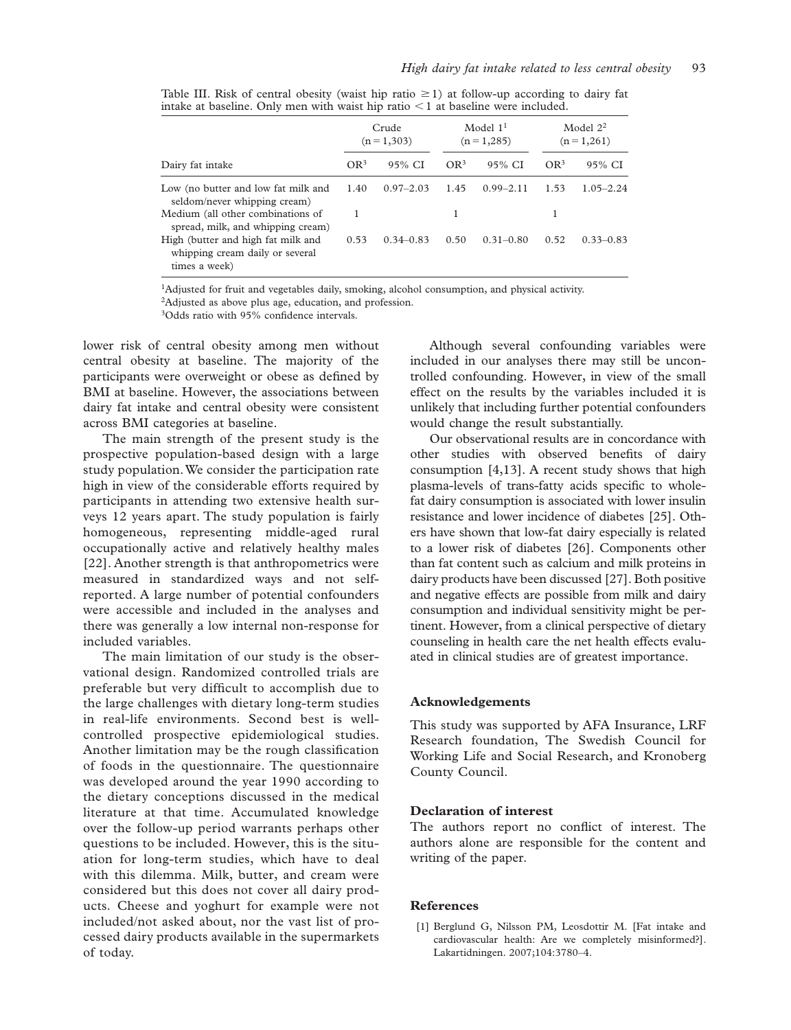|                                                                                        | Crude<br>$(n=1,303)$ |               | Model $11$<br>$(n=1,285)$ |               | Model $2^2$<br>$(n=1,261)$ |               |
|----------------------------------------------------------------------------------------|----------------------|---------------|---------------------------|---------------|----------------------------|---------------|
| Dairy fat intake                                                                       | OR <sup>3</sup>      | 95% CI        | OR <sup>3</sup>           | 95% CI        | OR <sup>3</sup>            | 95% CI        |
| Low (no butter and low fat milk and<br>seldom/never whipping cream)                    | 1.40                 | $0.97 - 2.03$ | 1.45                      | $0.99 - 2.11$ | 1.53                       | $1.05 - 2.24$ |
| Medium (all other combinations of<br>spread, milk, and whipping cream)                 | 1                    |               |                           |               |                            |               |
| High (butter and high fat milk and<br>whipping cream daily or several<br>times a week) | 0.53                 | $0.34 - 0.83$ | 0.50                      | $0.31 - 0.80$ | 0.52                       | $0.33 - 0.83$ |

Table III. Risk of central obesity (waist hip ratio  $\geq 1$ ) at follow-up according to dairy fat intake at baseline. Only men with waist hip ratio  $\leq 1$  at baseline were included.

<sup>1</sup>Adjusted for fruit and vegetables daily, smoking, alcohol consumption, and physical activity.

<sup>2</sup>Adjusted as above plus age, education, and profession.

<sup>3</sup>Odds ratio with 95% confidence intervals.

lower risk of central obesity among men without central obesity at baseline. The majority of the participants were overweight or obese as defined by BMI at baseline. However, the associations between dairy fat intake and central obesity were consistent across BMI categories at baseline.

The main strength of the present study is the prospective population-based design with a large study population. We consider the participation rate high in view of the considerable efforts required by participants in attending two extensive health surveys 12 years apart. The study population is fairly homogeneous, representing middle-aged rural occupationally active and relatively healthy males [22]. Another strength is that anthropometrics were measured in standardized ways and not selfreported. A large number of potential confounders were accessible and included in the analyses and there was generally a low internal non-response for included variables.

The main limitation of our study is the observational design. Randomized controlled trials are preferable but very difficult to accomplish due to the large challenges with dietary long-term studies in real-life environments. Second best is wellcontrolled prospective epidemiological studies. Another limitation may be the rough classification of foods in the questionnaire. The questionnaire was developed around the year 1990 according to the dietary conceptions discussed in the medical literature at that time. Accumulated knowledge over the follow-up period warrants perhaps other questions to be included. However, this is the situation for long-term studies, which have to deal with this dilemma. Milk, butter, and cream were considered but this does not cover all dairy products. Cheese and yoghurt for example were not included/not asked about, nor the vast list of processed dairy products available in the supermarkets of today.

Although several confounding variables were included in our analyses there may still be uncontrolled confounding. However, in view of the small effect on the results by the variables included it is unlikely that including further potential confounders would change the result substantially.

Our observational results are in concordance with other studies with observed benefits of dairy consumption [4,13]. A recent study shows that high plasma-levels of trans-fatty acids specific to wholefat dairy consumption is associated with lower insulin resistance and lower incidence of diabetes [25]. Others have shown that low-fat dairy especially is related to a lower risk of diabetes [26]. Components other than fat content such as calcium and milk proteins in dairy products have been discussed [27]. Both positive and negative effects are possible from milk and dairy consumption and individual sensitivity might be pertinent. However, from a clinical perspective of dietary counseling in health care the net health effects evaluated in clinical studies are of greatest importance.

#### **Acknowledgements**

This study was supported by AFA Insurance, LRF Research foundation, The Swedish Council for Working Life and Social Research, and Kronoberg County Council.

#### **Declaration of interest**

The authors report no conflict of interest. The authors alone are responsible for the content and writing of the paper.

#### **References**

[1] Berglund G, Nilsson PM, Leosdottir M. [Fat intake and cardiovascular health: Are we completely misinformed?] . Lakartidningen. 2007;104:3780-4.